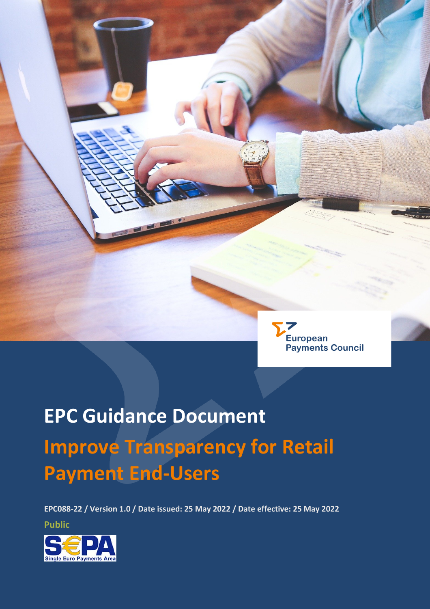

# **EPC Guidance Document Improve Transparency for Retail Payment End-Users**

**EPC088-22 / Version 1.0 / Date issued: 25 May 2022 / Date effective: 25 May 2022**

**Public**

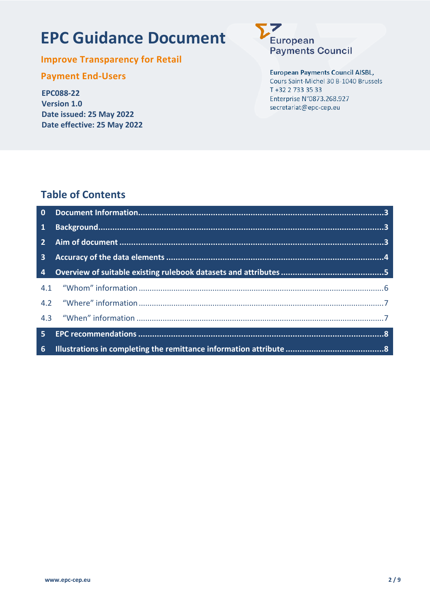# **EPC Guidance Document**

**Improve Transparency for Retail** 

# **Payment End-Users**

**EPC088-22 Version 1.0** Date issued: 25 May 2022 Date effective: 25 May 2022

European **Payments Council** 

#### **European Payments Council AISBL,**

Cours Saint-Michel 30 B-1040 Brussels T +32 2 733 35 33 Enterprise N°0873.268.927 secretariat@epc-cep.eu

# **Table of Contents**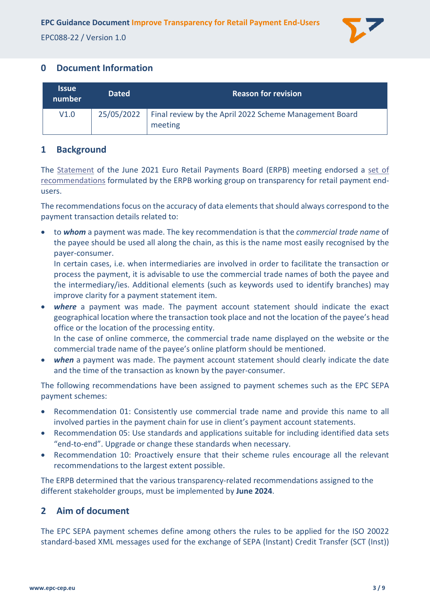

# <span id="page-2-0"></span>**0 Document Information**

| <b>Issue</b><br>number | <b>Dated</b> | <b>Reason for revision</b>                                                     |
|------------------------|--------------|--------------------------------------------------------------------------------|
| V1.0                   |              | 25/05/2022   Final review by the April 2022 Scheme Management Board<br>meeting |

# <span id="page-2-1"></span>**1 Background**

The [Statement](https://www.ecb.europa.eu/paym/groups/erpb/shared/pdf/15th-ERPB-meeting/Statement.pdf?a9497c7329f4fabef5c0099a795a8528) of the June 2021 Euro Retail Payments Board (ERPB) meeting endorsed a [set of](https://www.ecb.europa.eu/paym/groups/erpb/shared/pdf/15th-ERPB-meeting/Final_report_of_the_ERPB_working_group_on_transparency_for_retail_payments_end_-_users.pdf?e53826e577a16eced647ffe382578861)  [recommendations](https://www.ecb.europa.eu/paym/groups/erpb/shared/pdf/15th-ERPB-meeting/Final_report_of_the_ERPB_working_group_on_transparency_for_retail_payments_end_-_users.pdf?e53826e577a16eced647ffe382578861) formulated by the ERPB working group on transparency for retail payment endusers.

The recommendations focus on the accuracy of data elements that should always correspond to the payment transaction details related to:

• to *whom* a payment was made. The key recommendation is that the *commercial trade name* of the payee should be used all along the chain, as this is the name most easily recognised by the payer-consumer.

In certain cases, i.e. when intermediaries are involved in order to facilitate the transaction or process the payment, it is advisable to use the commercial trade names of both the payee and the intermediary/ies. Additional elements (such as keywords used to identify branches) may improve clarity for a payment statement item.

• *where* a payment was made. The payment account statement should indicate the exact geographical location where the transaction took place and not the location of the payee's head office or the location of the processing entity.

In the case of online commerce, the commercial trade name displayed on the website or the commercial trade name of the payee's online platform should be mentioned.

• **when** a payment was made. The payment account statement should clearly indicate the date and the time of the transaction as known by the payer-consumer.

The following recommendations have been assigned to payment schemes such as the EPC SEPA payment schemes:

- Recommendation 01: Consistently use commercial trade name and provide this name to all involved parties in the payment chain for use in client's payment account statements.
- Recommendation 05: Use standards and applications suitable for including identified data sets "end-to-end". Upgrade or change these standards when necessary.
- Recommendation 10: Proactively ensure that their scheme rules encourage all the relevant recommendations to the largest extent possible.

The ERPB determined that the various transparency-related recommendations assigned to the different stakeholder groups, must be implemented by **June 2024**.

# <span id="page-2-2"></span>**2 Aim of document**

The EPC SEPA payment schemes define among others the rules to be applied for the ISO 20022 standard-based XML messages used for the exchange of SEPA (Instant) Credit Transfer (SCT (Inst))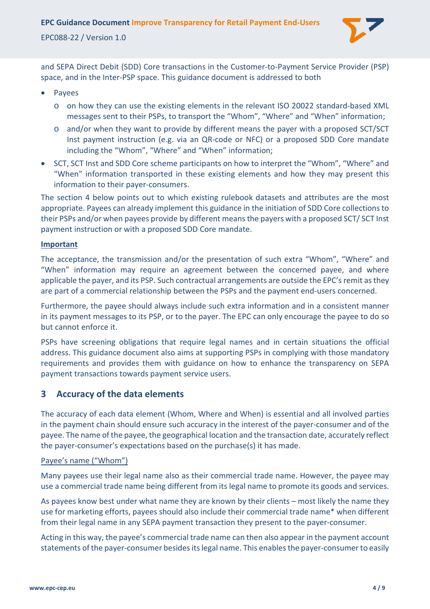

and SEPA Direct Debit (SDD) Core transactions in the Customer-to-Payment Service Provider (PSP) space, and in the Inter-PSP space. This guidance document is addressed to both

- Payees
	- o on how they can use the existing elements in the relevant ISO 20022 standard-based XML messages sent to their PSPs, to transport the "Whom", "Where" and "When" information;
	- o and/or when they want to provide by different means the payer with a proposed SCT/SCT Inst payment instruction (e.g. via an QR-code or NFC) or a proposed SDD Core mandate including the "Whom", "Where" and "When" information;
- SCT, SCT Inst and SDD Core scheme participants on how to interpret the "Whom", "Where" and "When" information transported in these existing elements and how they may present this information to their payer-consumers.

The section [4](#page-4-0) below points out to which existing rulebook datasets and attributes are the most appropriate. Payees can already implement this guidance in the initiation of SDD Core collections to their PSPs and/or when payees provide by different means the payers with a proposed SCT/ SCT Inst payment instruction or with a proposed SDD Core mandate.

#### **Important**

The acceptance, the transmission and/or the presentation of such extra "Whom", "Where" and "When" information may require an agreement between the concerned payee, and where applicable the payer, and its PSP. Such contractual arrangements are outside the EPC's remit as they are part of a commercial relationship between the PSPs and the payment end-users concerned.

Furthermore, the payee should always include such extra information and in a consistent manner in its payment messages to its PSP, or to the payer. The EPC can only encourage the payee to do so but cannot enforce it.

PSPs have screening obligations that require legal names and in certain situations the official address. This guidance document also aims at supporting PSPs in complying with those mandatory requirements and provides them with guidance on how to enhance the transparency on SEPA payment transactions towards payment service users.

#### <span id="page-3-0"></span>**3 Accuracy of the data elements**

The accuracy of each data element (Whom, Where and When) is essential and all involved parties in the payment chain should ensure such accuracy in the interest of the payer-consumer and of the payee. The name of the payee, the geographical location and the transaction date, accurately reflect the payer-consumer's expectations based on the purchase(s) it has made.

#### Payee's name ("Whom")

Many payees use their legal name also as their commercial trade name. However, the payee may use a commercial trade name being different from its legal name to promote its goods and services.

As payees know best under what name they are known by their clients – most likely the name they use for marketing efforts, payees should also include their commercial trade name\* when different from their legal name in any SEPA payment transaction they present to the payer-consumer.

Acting in this way, the payee's commercial trade name can then also appear in the payment account statements of the payer-consumer besides its legal name. This enables the payer-consumer to easily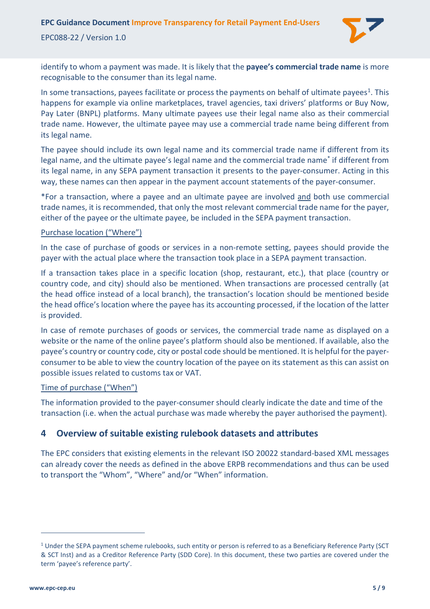**EPC Guidance Document Improve Transparency for Retail Payment End-Users** 

EPC088-22 / Version 1.0



identify to whom a payment was made. It is likely that the **payee's commercial trade name** is more recognisable to the consumer than its legal name.

In some transactions, payees facilitate or process the payments on behalf of ultimate payees<sup>1</sup>. This happens for example via online marketplaces, travel agencies, taxi drivers' platforms or Buy Now, Pay Later (BNPL) platforms. Many ultimate payees use their legal name also as their commercial trade name. However, the ultimate payee may use a commercial trade name being different from its legal name.

The payee should include its own legal name and its commercial trade name if different from its legal name, and the ultimate payee's legal name and the commercial trade name\* if different from its legal name, in any SEPA payment transaction it presents to the payer-consumer. Acting in this way, these names can then appear in the payment account statements of the payer-consumer.

\*For a transaction, where a payee and an ultimate payee are involved and both use commercial trade names, it is recommended, that only the most relevant commercial trade name for the payer, either of the payee or the ultimate payee, be included in the SEPA payment transaction.

#### Purchase location ("Where")

In the case of purchase of goods or services in a non-remote setting, payees should provide the payer with the actual place where the transaction took place in a SEPA payment transaction.

If a transaction takes place in a specific location (shop, restaurant, etc.), that place (country or country code, and city) should also be mentioned. When transactions are processed centrally (at the head office instead of a local branch), the transaction's location should be mentioned beside the head office's location where the payee has its accounting processed, if the location of the latter is provided.

In case of remote purchases of goods or services, the commercial trade name as displayed on a website or the name of the online payee's platform should also be mentioned. If available, also the payee's country or country code, city or postal code should be mentioned. It is helpful for the payerconsumer to be able to view the country location of the payee on its statement as this can assist on possible issues related to customs tax or VAT.

#### Time of purchase ("When")

The information provided to the payer-consumer should clearly indicate the date and time of the transaction (i.e. when the actual purchase was made whereby the payer authorised the payment).

#### <span id="page-4-0"></span>**4 Overview of suitable existing rulebook datasets and attributes**

The EPC considers that existing elements in the relevant ISO 20022 standard-based XML messages can already cover the needs as defined in the above ERPB recommendations and thus can be used to transport the "Whom", "Where" and/or "When" information.

<span id="page-4-1"></span> $1$  Under the SEPA payment scheme rulebooks, such entity or person is referred to as a Beneficiary Reference Party (SCT) & SCT Inst) and as a Creditor Reference Party (SDD Core). In this document, these two parties are covered under the term 'payee's reference party'.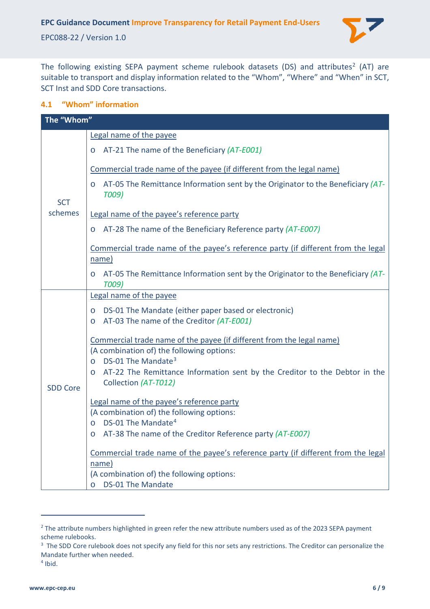

The following existing SEPA payment scheme rulebook datasets (DS) and attributes<sup>[2](#page-5-1)</sup> (AT) are suitable to transport and display information related to the "Whom", "Where" and "When" in SCT, SCT Inst and SDD Core transactions.

#### <span id="page-5-0"></span>**4.1 "Whom" information**

| The "Whom"      |                                                                                                                    |  |  |  |
|-----------------|--------------------------------------------------------------------------------------------------------------------|--|--|--|
|                 | Legal name of the payee                                                                                            |  |  |  |
|                 | AT-21 The name of the Beneficiary (AT-E001)                                                                        |  |  |  |
|                 | Commercial trade name of the payee (if different from the legal name)                                              |  |  |  |
| <b>SCT</b>      | AT-05 The Remittance Information sent by the Originator to the Beneficiary (AT-<br>$\circ$<br>T009)                |  |  |  |
| schemes         | Legal name of the payee's reference party                                                                          |  |  |  |
|                 | AT-28 The name of the Beneficiary Reference party (AT-E007)<br>$\circ$                                             |  |  |  |
|                 | Commercial trade name of the payee's reference party (if different from the legal<br>name)                         |  |  |  |
|                 | AT-05 The Remittance Information sent by the Originator to the Beneficiary (AT-<br>$\circ$<br><b>T009)</b>         |  |  |  |
|                 | Legal name of the payee                                                                                            |  |  |  |
|                 | DS-01 The Mandate (either paper based or electronic)<br>O<br>AT-03 The name of the Creditor (AT-E001)<br>$\circ$   |  |  |  |
|                 | Commercial trade name of the payee (if different from the legal name)<br>(A combination of) the following options: |  |  |  |
|                 | DS-01 The Mandate <sup>3</sup><br>$\Omega$                                                                         |  |  |  |
| <b>SDD Core</b> | AT-22 The Remittance Information sent by the Creditor to the Debtor in the<br>$\Omega$<br>Collection (AT-T012)     |  |  |  |
|                 | Legal name of the payee's reference party                                                                          |  |  |  |
|                 | (A combination of) the following options:<br>DS-01 The Mandate <sup>4</sup><br>$\circ$                             |  |  |  |
|                 | AT-38 The name of the Creditor Reference party (AT-E007)<br>$\circ$                                                |  |  |  |
|                 | Commercial trade name of the payee's reference party (if different from the legal                                  |  |  |  |
|                 | name)<br>(A combination of) the following options:                                                                 |  |  |  |
|                 | DS-01 The Mandate<br>$\Omega$                                                                                      |  |  |  |

<span id="page-5-1"></span><sup>&</sup>lt;sup>2</sup> The attribute numbers highlighted in green refer the new attribute numbers used as of the 2023 SEPA payment scheme rulebooks.

<span id="page-5-2"></span><sup>&</sup>lt;sup>3</sup> The SDD Core rulebook does not specify any field for this nor sets any restrictions. The Creditor can personalize the Mandate further when needed.

<span id="page-5-3"></span> $<sup>4</sup>$  Ibid.</sup>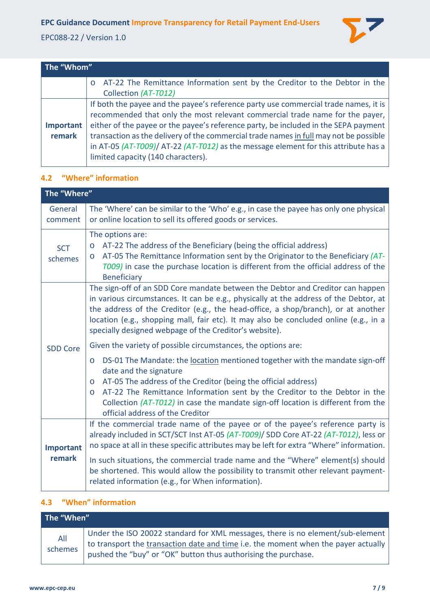

| The "Whom"          |                                                                                                                                                                                                                                                                                                                                                                                                                                                                                  |  |  |  |
|---------------------|----------------------------------------------------------------------------------------------------------------------------------------------------------------------------------------------------------------------------------------------------------------------------------------------------------------------------------------------------------------------------------------------------------------------------------------------------------------------------------|--|--|--|
|                     | AT-22 The Remittance Information sent by the Creditor to the Debtor in the<br>$\circ$<br>Collection (AT-T012)                                                                                                                                                                                                                                                                                                                                                                    |  |  |  |
| Important<br>remark | If both the payee and the payee's reference party use commercial trade names, it is<br>recommended that only the most relevant commercial trade name for the payer,<br>either of the payee or the payee's reference party, be included in the SEPA payment<br>transaction as the delivery of the commercial trade names in full may not be possible<br>in AT-05 (AT-T009)/ AT-22 (AT-T012) as the message element for this attribute has a<br>limited capacity (140 characters). |  |  |  |

#### <span id="page-6-0"></span>**4.2 "Where" information**

| The "Where"           |                                                                                                                                                                                                                                                                                                                                                                                                                                                                                  |  |  |  |
|-----------------------|----------------------------------------------------------------------------------------------------------------------------------------------------------------------------------------------------------------------------------------------------------------------------------------------------------------------------------------------------------------------------------------------------------------------------------------------------------------------------------|--|--|--|
| General<br>comment    | The 'Where' can be similar to the 'Who' e.g., in case the payee has only one physical<br>or online location to sell its offered goods or services.                                                                                                                                                                                                                                                                                                                               |  |  |  |
| <b>SCT</b><br>schemes | The options are:<br>AT-22 The address of the Beneficiary (being the official address)<br>$\circ$<br>AT-05 The Remittance Information sent by the Originator to the Beneficiary (AT-<br>$\circ$<br>T009) in case the purchase location is different from the official address of the<br><b>Beneficiary</b>                                                                                                                                                                        |  |  |  |
|                       | The sign-off of an SDD Core mandate between the Debtor and Creditor can happen<br>in various circumstances. It can be e.g., physically at the address of the Debtor, at<br>the address of the Creditor (e.g., the head-office, a shop/branch), or at another<br>location (e.g., shopping mall, fair etc). It may also be concluded online (e.g., in a<br>specially designed webpage of the Creditor's website).                                                                  |  |  |  |
| <b>SDD Core</b>       | Given the variety of possible circumstances, the options are:<br>DS-01 The Mandate: the location mentioned together with the mandate sign-off<br>$\circ$<br>date and the signature<br>AT-05 The address of the Creditor (being the official address)<br>$\circ$<br>AT-22 The Remittance Information sent by the Creditor to the Debtor in the<br>$\circ$<br>Collection (AT-T012) in case the mandate sign-off location is different from the<br>official address of the Creditor |  |  |  |
| Important<br>remark   | If the commercial trade name of the payee or of the payee's reference party is<br>already included in SCT/SCT Inst AT-05 (AT-T009)/ SDD Core AT-22 (AT-T012), less or<br>no space at all in these specific attributes may be left for extra "Where" information.                                                                                                                                                                                                                 |  |  |  |
|                       | In such situations, the commercial trade name and the "Where" element(s) should<br>be shortened. This would allow the possibility to transmit other relevant payment-<br>related information (e.g., for When information).                                                                                                                                                                                                                                                       |  |  |  |

## <span id="page-6-1"></span>**4.3 "When" information**

| The "When"     |                                                                                                                                                                                                                                        |  |  |  |
|----------------|----------------------------------------------------------------------------------------------------------------------------------------------------------------------------------------------------------------------------------------|--|--|--|
| All<br>schemes | Under the ISO 20022 standard for XML messages, there is no element/sub-element<br>to transport the transaction date and time i.e. the moment when the payer actually<br>pushed the "buy" or "OK" button thus authorising the purchase. |  |  |  |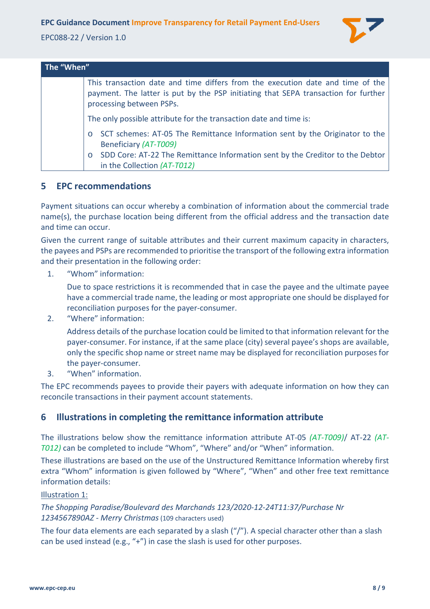**EPC Guidance Document Improve Transparency for Retail Payment End-Users** 

EPC088-22 / Version 1.0



| The "When" |                                                                                                                                                                                                  |  |
|------------|--------------------------------------------------------------------------------------------------------------------------------------------------------------------------------------------------|--|
|            | This transaction date and time differs from the execution date and time of the<br>payment. The latter is put by the PSP initiating that SEPA transaction for further<br>processing between PSPs. |  |
|            | The only possible attribute for the transaction date and time is:                                                                                                                                |  |
|            | SCT schemes: AT-05 The Remittance Information sent by the Originator to the<br>Beneficiary (AT-T009)<br>SDD Core: AT-22 The Remittance Information sent by the Creditor to the Debtor            |  |
|            | in the Collection (AT-T012)                                                                                                                                                                      |  |

## <span id="page-7-0"></span>**5 EPC recommendations**

Payment situations can occur whereby a combination of information about the commercial trade name(s), the purchase location being different from the official address and the transaction date and time can occur.

Given the current range of suitable attributes and their current maximum capacity in characters, the payees and PSPs are recommended to prioritise the transport of the following extra information and their presentation in the following order:

1. "Whom" information:

Due to space restrictions it is recommended that in case the payee and the ultimate payee have a commercial trade name, the leading or most appropriate one should be displayed for reconciliation purposes for the payer-consumer.

2. "Where" information:

Address details of the purchase location could be limited to that information relevant for the payer-consumer. For instance, if at the same place (city) several payee's shops are available, only the specific shop name or street name may be displayed for reconciliation purposes for the payer-consumer.

3. "When" information.

The EPC recommends payees to provide their payers with adequate information on how they can reconcile transactions in their payment account statements.

# <span id="page-7-1"></span>**6 Illustrations in completing the remittance information attribute**

The illustrations below show the remittance information attribute AT-05 *(AT-T009)*/ AT-22 *(AT-T012)* can be completed to include "Whom", "Where" and/or "When" information.

These illustrations are based on the use of the Unstructured Remittance Information whereby first extra "Whom" information is given followed by "Where", "When" and other free text remittance information details:

#### Illustration 1:

*The Shopping Paradise/Boulevard des Marchands 123/2020-12-24T11:37/Purchase Nr 1234567890AZ - Merry Christmas*(109 characters used)

The four data elements are each separated by a slash ("/"). A special character other than a slash can be used instead (e.g., "+") in case the slash is used for other purposes.